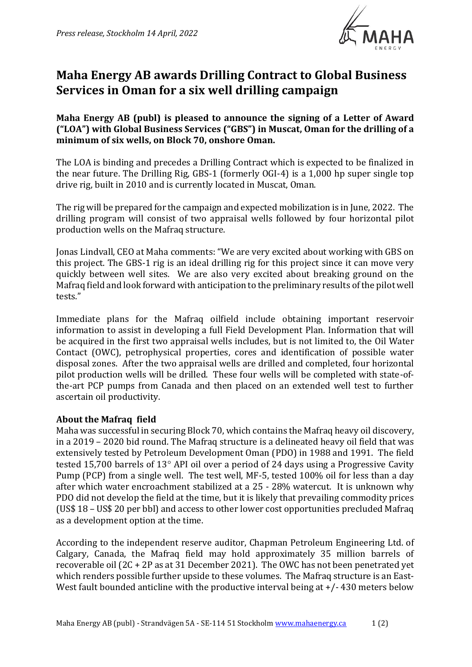

# **Maha Energy AB awards Drilling Contract to Global Business Services in Oman for a six well drilling campaign**

**Maha Energy AB (publ) is pleased to announce the signing of a Letter of Award ("LOA") with Global Business Services ("GBS") in Muscat, Oman for the drilling of a minimum of six wells, on Block 70, onshore Oman.** 

The LOA is binding and precedes a Drilling Contract which is expected to be finalized in the near future. The Drilling Rig, GBS-1 (formerly OGI-4) is a 1,000 hp super single top drive rig, built in 2010 and is currently located in Muscat, Oman.

The rig will be prepared for the campaign and expected mobilization is in June, 2022. The drilling program will consist of two appraisal wells followed by four horizontal pilot production wells on the Mafraq structure.

Jonas Lindvall, CEO at Maha comments: "We are very excited about working with GBS on this project. The GBS-1 rig is an ideal drilling rig for this project since it can move very quickly between well sites. We are also very excited about breaking ground on the Mafraq field and look forward with anticipation to the preliminary results of the pilot well tests."

Immediate plans for the Mafraq oilfield include obtaining important reservoir information to assist in developing a full Field Development Plan. Information that will be acquired in the first two appraisal wells includes, but is not limited to, the Oil Water Contact (OWC), petrophysical properties, cores and identification of possible water disposal zones. After the two appraisal wells are drilled and completed, four horizontal pilot production wells will be drilled. These four wells will be completed with state-ofthe-art PCP pumps from Canada and then placed on an extended well test to further ascertain oil productivity.

## **About the Mafraq field**

Maha was successful in securing Block 70, which contains the Mafraq heavy oil discovery, in a 2019 – 2020 bid round. The Mafraq structure is a delineated heavy oil field that was extensively tested by Petroleum Development Oman (PDO) in 1988 and 1991. The field tested 15,700 barrels of 13 $^{\circ}$  API oil over a period of 24 days using a Progressive Cavity Pump (PCP) from a single well. The test well, MF-5, tested 100% oil for less than a day after which water encroachment stabilized at a 25 - 28% watercut. It is unknown why PDO did not develop the field at the time, but it is likely that prevailing commodity prices (US\$ 18 – US\$ 20 per bbl) and access to other lower cost opportunities precluded Mafraq as a development option at the time.

According to the independent reserve auditor, Chapman Petroleum Engineering Ltd. of Calgary, Canada, the Mafraq field may hold approximately 35 million barrels of recoverable oil (2C + 2P as at 31 December 2021). The OWC has not been penetrated yet which renders possible further upside to these volumes. The Mafraq structure is an East-West fault bounded anticline with the productive interval being at  $+/-430$  meters below